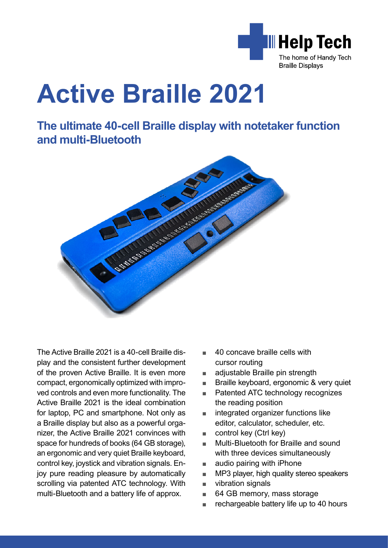

**The ultimate 40-cell Braille display with notetaker function and multi-Bluetooth**



The Active Braille 2021 is a 40-cell Braille display and the consistent further development of the proven Active Braille. It is even more compact, ergonomically optimized with improved controls and even more functionality. The Active Braille 2021 is the ideal combination for laptop, PC and smartphone. Not only as a Braille display but also as a powerful organizer, the Active Braille 2021 convinces with space for hundreds of books (64 GB storage), an ergonomic and very quiet Braille keyboard, control key, joystick and vibration signals. Enjoy pure reading pleasure by automatically scrolling via patented ATC technology. With multi-Bluetooth and a battery life of approx.

- 40 concave braille cells with cursor routing
- adjustable Braille pin strength
- Braille keyboard, ergonomic & very quiet
- Patented ATC technology recognizes the reading position
- integrated organizer functions like editor, calculator, scheduler, etc.
- control key (Ctrl key)
- Multi-Bluetooth for Braille and sound with three devices simultaneously
- audio pairing with iPhone
- MP3 player, high quality stereo speakers
- vibration signals
- 64 GB memory, mass storage
- rechargeable battery life up to 40 hours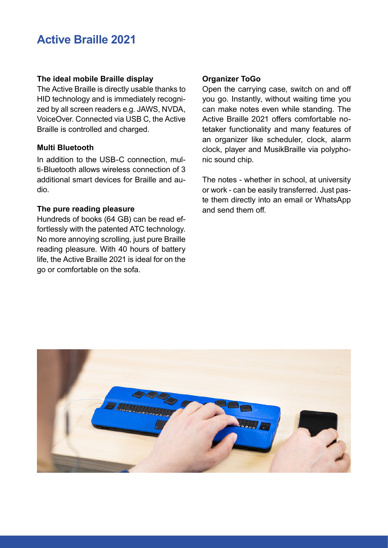# **The ideal mobile Braille display**

The Active Braille is directly usable thanks to HID technology and is immediately recognized by all screen readers e.g. JAWS, NVDA, VoiceOver. Connected via USB C, the Active Braille is controlled and charged.

## **Multi Bluetooth**

In addition to the USB-C connection, multi-Bluetooth allows wireless connection of 3 additional smart devices for Braille and audio.

# **The pure reading pleasure**

Hundreds of books (64 GB) can be read effortlessly with the patented ATC technology. No more annoying scrolling, just pure Braille reading pleasure. With 40 hours of battery life, the Active Braille 2021 is ideal for on the go or comfortable on the sofa.

# **Organizer ToGo**

Open the carrying case, switch on and off you go. Instantly, without waiting time you can make notes even while standing. The Active Braille 2021 offers comfortable notetaker functionality and many features of an organizer like scheduler, clock, alarm clock, player and MusikBraille via polyphonic sound chip.

The notes - whether in school, at university or work - can be easily transferred. Just paste them directly into an email or WhatsApp and send them off.

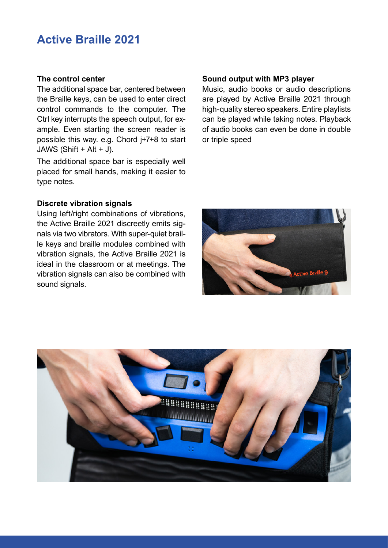### **The control center**

The additional space bar, centered between the Braille keys, can be used to enter direct control commands to the computer. The Ctrl key interrupts the speech output, for example. Even starting the screen reader is possible this way. e.g. Chord j+7+8 to start JAWS (Shift + Alt + J).

The additional space bar is especially well placed for small hands, making it easier to type notes.

# **Discrete vibration signals**

Using left/right combinations of vibrations, the Active Braille 2021 discreetly emits signals via two vibrators. With super-quiet braille keys and braille modules combined with vibration signals, the Active Braille 2021 is ideal in the classroom or at meetings. The vibration signals can also be combined with sound signals.

#### **Sound output with MP3 player**

Music, audio books or audio descriptions are played by Active Braille 2021 through high-quality stereo speakers. Entire playlists can be played while taking notes. Playback of audio books can even be done in double or triple speed